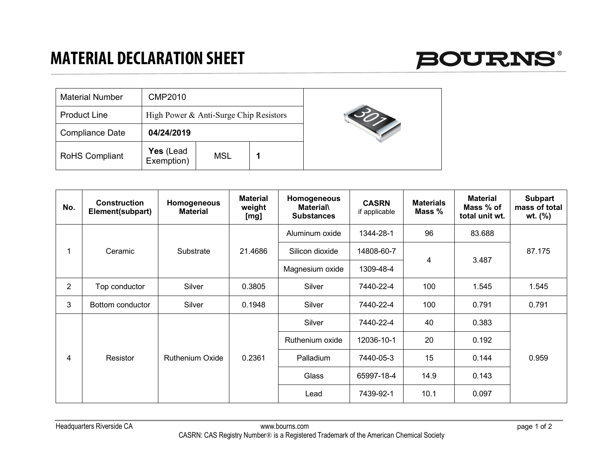## **MATERIAL DECLARATION SHEET**



| <b>Material Number</b> | <b>CMP2010</b>          |                                        |  |  |
|------------------------|-------------------------|----------------------------------------|--|--|
| <b>Product Line</b>    |                         | High Power & Anti-Surge Chip Resistors |  |  |
| <b>Compliance Date</b> | 04/24/2019              |                                        |  |  |
| <b>RoHS Compliant</b>  | Yes (Lead<br>Exemption) | <b>MSL</b>                             |  |  |

| No. | <b>Construction</b><br>Element(subpart) | Homogeneous<br><b>Material</b> | <b>Material</b><br>weight<br>[mg] | Homogeneous<br><b>Material\</b><br><b>Substances</b> | <b>CASRN</b><br>if applicable | <b>Materials</b><br>Mass % | <b>Material</b><br>Mass % of<br>total unit wt. | <b>Subpart</b><br>mass of total<br>wt. (%) |
|-----|-----------------------------------------|--------------------------------|-----------------------------------|------------------------------------------------------|-------------------------------|----------------------------|------------------------------------------------|--------------------------------------------|
|     | Ceramic                                 | Substrate                      | 21.4686                           | Aluminum oxide                                       | 1344-28-1                     | 96                         | 83.688                                         | 87.175                                     |
|     |                                         |                                |                                   | Silicon dioxide                                      | 14808-60-7                    | 4                          | 3.487                                          |                                            |
|     |                                         |                                |                                   | Magnesium oxide                                      | 1309-48-4                     |                            |                                                |                                            |
| 2   | Top conductor                           | Silver                         | 0.3805                            | Silver                                               | 7440-22-4                     | 100                        | 1.545                                          | 1.545                                      |
| 3   | Bottom conductor                        | Silver                         | 0.1948                            | Silver                                               | 7440-22-4                     | 100                        | 0.791                                          | 0.791                                      |
| 4   | Resistor                                | <b>Ruthenium Oxide</b>         | 0.2361                            | Silver                                               | 7440-22-4                     | 40                         | 0.383                                          | 0.959                                      |
|     |                                         |                                |                                   | Ruthenium oxide                                      | 12036-10-1                    | 20                         | 0.192                                          |                                            |
|     |                                         |                                |                                   | Palladium                                            | 7440-05-3                     | 15                         | 0.144                                          |                                            |
|     |                                         |                                |                                   | Glass                                                | 65997-18-4                    | 14.9                       | 0.143                                          |                                            |
|     |                                         |                                |                                   | Lead                                                 | 7439-92-1                     | 10.1                       | 0.097                                          |                                            |